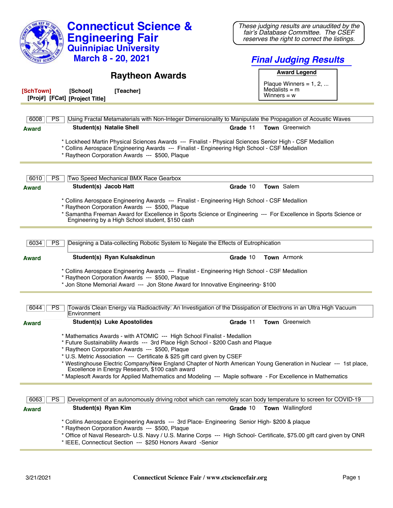|                                                                                                                                                                                      | <b>Connecticut Science &amp;</b>                                                                                                                                                                                                                                                                                                                                                                                                                            | These judging results are unaudited by the<br>fair's Database Committee. The CSEF                                |  |
|--------------------------------------------------------------------------------------------------------------------------------------------------------------------------------------|-------------------------------------------------------------------------------------------------------------------------------------------------------------------------------------------------------------------------------------------------------------------------------------------------------------------------------------------------------------------------------------------------------------------------------------------------------------|------------------------------------------------------------------------------------------------------------------|--|
|                                                                                                                                                                                      | <b>Engineering Fair</b>                                                                                                                                                                                                                                                                                                                                                                                                                                     | reserves the right to correct the listings.                                                                      |  |
|                                                                                                                                                                                      | <b>Quinnipiac University</b>                                                                                                                                                                                                                                                                                                                                                                                                                                |                                                                                                                  |  |
|                                                                                                                                                                                      | <b>March 8 - 20, 2021</b>                                                                                                                                                                                                                                                                                                                                                                                                                                   | <b>Final Judging Results</b>                                                                                     |  |
|                                                                                                                                                                                      | <b>Raytheon Awards</b>                                                                                                                                                                                                                                                                                                                                                                                                                                      | <b>Award Legend</b>                                                                                              |  |
|                                                                                                                                                                                      |                                                                                                                                                                                                                                                                                                                                                                                                                                                             | Plaque Winners = $1, 2, $<br>Medalists $=$ m                                                                     |  |
| [SchTown]                                                                                                                                                                            | [School]<br>[Teacher]<br>[Proj#] [FCat] [Project Title]                                                                                                                                                                                                                                                                                                                                                                                                     | Winners = $w$                                                                                                    |  |
|                                                                                                                                                                                      |                                                                                                                                                                                                                                                                                                                                                                                                                                                             |                                                                                                                  |  |
| 6008                                                                                                                                                                                 | <b>PS</b>                                                                                                                                                                                                                                                                                                                                                                                                                                                   | Using Fractal Metamaterials with Non-Integer Dimensionality to Manipulate the Propagation of Acoustic Waves      |  |
| Award                                                                                                                                                                                | <b>Student(s) Natalie Shell</b>                                                                                                                                                                                                                                                                                                                                                                                                                             | Grade 11<br><b>Town</b> Greenwich                                                                                |  |
|                                                                                                                                                                                      | * Lockheed Martin Physical Sciences Awards --- Finalist - Physical Sciences Senior High - CSF Medallion<br>* Collins Aerospace Engineering Awards --- Finalist - Engineering High School - CSF Medallion<br>* Raytheon Corporation Awards --- \$500, Plaque                                                                                                                                                                                                 |                                                                                                                  |  |
|                                                                                                                                                                                      |                                                                                                                                                                                                                                                                                                                                                                                                                                                             |                                                                                                                  |  |
| 6010<br><b>Award</b>                                                                                                                                                                 | <b>PS</b><br>Two Speed Mechanical BMX Race Gearbox<br>Student(s) Jacob Hatt                                                                                                                                                                                                                                                                                                                                                                                 | Town Salem<br>Grade 10                                                                                           |  |
|                                                                                                                                                                                      |                                                                                                                                                                                                                                                                                                                                                                                                                                                             |                                                                                                                  |  |
|                                                                                                                                                                                      | * Collins Aerospace Engineering Awards --- Finalist - Engineering High School - CSF Medallion<br>* Raytheon Corporation Awards --- \$500, Plaque                                                                                                                                                                                                                                                                                                            |                                                                                                                  |  |
|                                                                                                                                                                                      | Engineering by a High School student, \$150 cash                                                                                                                                                                                                                                                                                                                                                                                                            | * Samantha Freeman Award for Excellence in Sports Science or Engineering --- For Excellence in Sports Science or |  |
|                                                                                                                                                                                      |                                                                                                                                                                                                                                                                                                                                                                                                                                                             |                                                                                                                  |  |
| 6034                                                                                                                                                                                 | Designing a Data-collecting Robotic System to Negate the Effects of Eutrophication<br><b>PS</b>                                                                                                                                                                                                                                                                                                                                                             |                                                                                                                  |  |
| <b>Award</b>                                                                                                                                                                         | Student(s) Ryan Kulsakdinun                                                                                                                                                                                                                                                                                                                                                                                                                                 | Town Armonk<br>Grade 10                                                                                          |  |
|                                                                                                                                                                                      | * Collins Aerospace Engineering Awards --- Finalist - Engineering High School - CSF Medallion<br>* Raytheon Corporation Awards --- \$500, Plaque<br>* Jon Stone Memorial Award --- Jon Stone Award for Innovative Engineering- \$100                                                                                                                                                                                                                        |                                                                                                                  |  |
|                                                                                                                                                                                      |                                                                                                                                                                                                                                                                                                                                                                                                                                                             |                                                                                                                  |  |
| $6044$   PS                                                                                                                                                                          | Environment                                                                                                                                                                                                                                                                                                                                                                                                                                                 | Towards Clean Energy via Radioactivity: An Investigation of the Dissipation of Electrons in an Ultra High Vacuum |  |
| Award                                                                                                                                                                                | <b>Student(s) Luke Apostolides</b>                                                                                                                                                                                                                                                                                                                                                                                                                          | Grade 11<br>Town Greenwich                                                                                       |  |
|                                                                                                                                                                                      | * Mathematics Awards - with ATOMIC --- High School Finalist - Medallion<br>* Future Sustainability Awards --- 3rd Place High School - \$200 Cash and Plaque<br>* Raytheon Corporation Awards --- \$500, Plaque<br>* U.S. Metric Association --- Certificate & \$25 gift card given by CSEF<br>Excellence in Energy Research, \$100 cash award<br>* Maplesoft Awards for Applied Mathematics and Modeling --- Maple software - For Excellence in Mathematics | * Westinghouse Electric Company/New England Chapter of North American Young Generation in Nuclear --- 1st place, |  |
|                                                                                                                                                                                      |                                                                                                                                                                                                                                                                                                                                                                                                                                                             |                                                                                                                  |  |
| 6063                                                                                                                                                                                 | <b>PS</b>                                                                                                                                                                                                                                                                                                                                                                                                                                                   | Development of an autonomously driving robot which can remotely scan body temperature to screen for COVID-19     |  |
| <b>Award</b>                                                                                                                                                                         | Student(s) Ryan Kim                                                                                                                                                                                                                                                                                                                                                                                                                                         | <b>Town</b> Wallingford<br>Grade 10                                                                              |  |
|                                                                                                                                                                                      | * Collins Aerospace Engineering Awards --- 3rd Place- Engineering Senior High- \$200 & plaque<br>* Raytheon Corporation Awards --- \$500, Plaque                                                                                                                                                                                                                                                                                                            |                                                                                                                  |  |
| * Office of Naval Research- U.S. Navy / U.S. Marine Corps --- High School- Certificate, \$75.00 gift card given by ONR<br>* IEEE, Connecticut Section --- \$250 Honors Award -Senior |                                                                                                                                                                                                                                                                                                                                                                                                                                                             |                                                                                                                  |  |